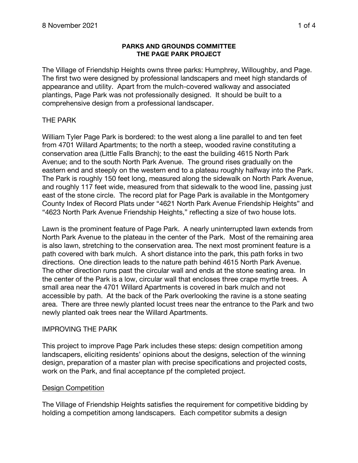#### **PARKS AND GROUNDS COMMITTEE THE PAGE PARK PROJECT**

The Village of Friendship Heights owns three parks: Humphrey, Willoughby, and Page. The first two were designed by professional landscapers and meet high standards of appearance and utility. Apart from the mulch-covered walkway and associated plantings, Page Park was not professionally designed. It should be built to a comprehensive design from a professional landscaper.

# THE PARK

William Tyler Page Park is bordered: to the west along a line parallel to and ten feet from 4701 Willard Apartments; to the north a steep, wooded ravine constituting a conservation area (Little Falls Branch); to the east the building 4615 North Park Avenue; and to the south North Park Avenue. The ground rises gradually on the eastern end and steeply on the western end to a plateau roughly halfway into the Park. The Park is roughly 150 feet long, measured along the sidewalk on North Park Avenue, and roughly 117 feet wide, measured from that sidewalk to the wood line, passing just east of the stone circle. The record plat for Page Park is available in the Montgomery County Index of Record Plats under "4621 North Park Avenue Friendship Heights" and "4623 North Park Avenue Friendship Heights," reflecting a size of two house lots.

Lawn is the prominent feature of Page Park. A nearly uninterrupted lawn extends from North Park Avenue to the plateau in the center of the Park. Most of the remaining area is also lawn, stretching to the conservation area. The next most prominent feature is a path covered with bark mulch. A short distance into the park, this path forks in two directions. One direction leads to the nature path behind 4615 North Park Avenue. The other direction runs past the circular wall and ends at the stone seating area. In the center of the Park is a low, circular wall that encloses three crape myrtle trees. A small area near the 4701 Willard Apartments is covered in bark mulch and not accessible by path. At the back of the Park overlooking the ravine is a stone seating area. There are three newly planted locust trees near the entrance to the Park and two newly planted oak trees near the Willard Apartments.

### IMPROVING THE PARK

This project to improve Page Park includes these steps: design competition among landscapers, eliciting residents' opinions about the designs, selection of the winning design, preparation of a master plan with precise specifications and projected costs, work on the Park, and final acceptance pf the completed project.

### Design Competition

The Village of Friendship Heights satisfies the requirement for competitive bidding by holding a competition among landscapers. Each competitor submits a design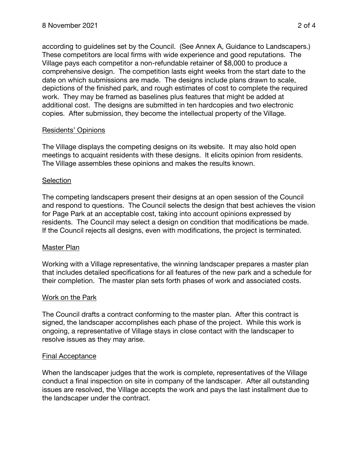according to guidelines set by the Council. (See Annex A, Guidance to Landscapers.) These competitors are local firms with wide experience and good reputations. The Village pays each competitor a non-refundable retainer of \$8,000 to produce a comprehensive design. The competition lasts eight weeks from the start date to the date on which submissions are made. The designs include plans drawn to scale, depictions of the finished park, and rough estimates of cost to complete the required work. They may be framed as baselines plus features that might be added at additional cost. The designs are submitted in ten hardcopies and two electronic copies. After submission, they become the intellectual property of the Village.

# Residents' Opinions

The Village displays the competing designs on its website. It may also hold open meetings to acquaint residents with these designs. It elicits opinion from residents. The Village assembles these opinions and makes the results known.

### **Selection**

The competing landscapers present their designs at an open session of the Council and respond to questions. The Council selects the design that best achieves the vision for Page Park at an acceptable cost, taking into account opinions expressed by residents. The Council may select a design on condition that modifications be made. If the Council rejects all designs, even with modifications, the project is terminated.

### Master Plan

Working with a Village representative, the winning landscaper prepares a master plan that includes detailed specifications for all features of the new park and a schedule for their completion. The master plan sets forth phases of work and associated costs.

### Work on the Park

The Council drafts a contract conforming to the master plan. After this contract is signed, the landscaper accomplishes each phase of the project. While this work is ongoing, a representative of Village stays in close contact with the landscaper to resolve issues as they may arise.

### Final Acceptance

When the landscaper judges that the work is complete, representatives of the Village conduct a final inspection on site in company of the landscaper. After all outstanding issues are resolved, the Village accepts the work and pays the last installment due to the landscaper under the contract.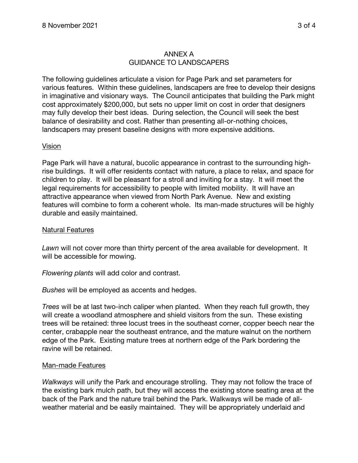## ANNEX A GUIDANCE TO LANDSCAPERS

The following guidelines articulate a vision for Page Park and set parameters for various features. Within these guidelines, landscapers are free to develop their designs in imaginative and visionary ways. The Council anticipates that building the Park might cost approximately \$200,000, but sets no upper limit on cost in order that designers may fully develop their best ideas. During selection, the Council will seek the best balance of desirability and cost. Rather than presenting all-or-nothing choices, landscapers may present baseline designs with more expensive additions.

### Vision

Page Park will have a natural, bucolic appearance in contrast to the surrounding highrise buildings. It will offer residents contact with nature, a place to relax, and space for children to play. It will be pleasant for a stroll and inviting for a stay. It will meet the legal requirements for accessibility to people with limited mobility. It will have an attractive appearance when viewed from North Park Avenue. New and existing features will combine to form a coherent whole. Its man-made structures will be highly durable and easily maintained.

#### Natural Features

*Lawn* will not cover more than thirty percent of the area available for development. It will be accessible for mowing.

*Flowering plants* will add color and contrast.

*Bushes* will be employed as accents and hedges.

*Trees* will be at last two-inch caliper when planted. When they reach full growth, they will create a woodland atmosphere and shield visitors from the sun. These existing trees will be retained: three locust trees in the southeast corner, copper beech near the center, crabapple near the southeast entrance, and the mature walnut on the northern edge of the Park. Existing mature trees at northern edge of the Park bordering the ravine will be retained.

#### Man-made Features

*Walkways* will unify the Park and encourage strolling. They may not follow the trace of the existing bark mulch path, but they will access the existing stone seating area at the back of the Park and the nature trail behind the Park. Walkways will be made of allweather material and be easily maintained. They will be appropriately underlaid and